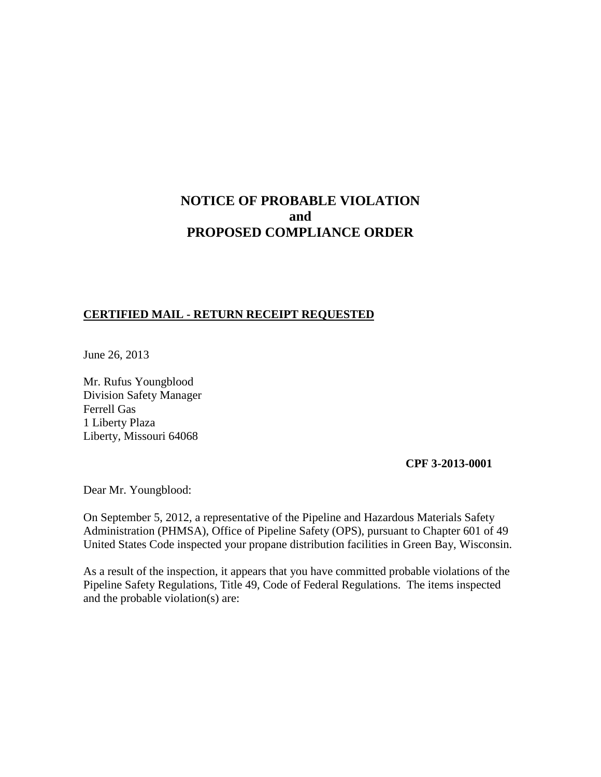# **NOTICE OF PROBABLE VIOLATION and PROPOSED COMPLIANCE ORDER**

## **CERTIFIED MAIL - RETURN RECEIPT REQUESTED**

June 26, 2013

Mr. Rufus Youngblood Division Safety Manager Ferrell Gas 1 Liberty Plaza Liberty, Missouri 64068

**CPF 3-2013-0001** 

Dear Mr. Youngblood:

On September 5, 2012, a representative of the Pipeline and Hazardous Materials Safety Administration (PHMSA), Office of Pipeline Safety (OPS), pursuant to Chapter 601 of 49 United States Code inspected your propane distribution facilities in Green Bay, Wisconsin.

As a result of the inspection, it appears that you have committed probable violations of the Pipeline Safety Regulations, Title 49, Code of Federal Regulations. The items inspected and the probable violation(s) are: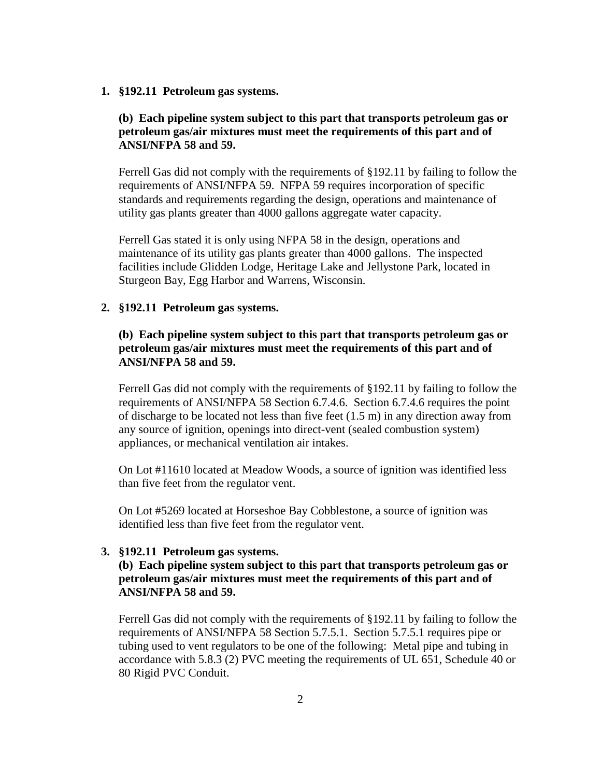#### **1. §192.11 Petroleum gas systems.**

# **(b) Each pipeline system subject to this part that transports petroleum gas or petroleum gas/air mixtures must meet the requirements of this part and of ANSI/NFPA 58 and 59.**

Ferrell Gas did not comply with the requirements of §192.11 by failing to follow the requirements of ANSI/NFPA 59. NFPA 59 requires incorporation of specific standards and requirements regarding the design, operations and maintenance of utility gas plants greater than 4000 gallons aggregate water capacity.

Ferrell Gas stated it is only using NFPA 58 in the design, operations and maintenance of its utility gas plants greater than 4000 gallons. The inspected facilities include Glidden Lodge, Heritage Lake and Jellystone Park, located in Sturgeon Bay, Egg Harbor and Warrens, Wisconsin.

### **2. §192.11 Petroleum gas systems.**

# **(b) Each pipeline system subject to this part that transports petroleum gas or petroleum gas/air mixtures must meet the requirements of this part and of ANSI/NFPA 58 and 59.**

Ferrell Gas did not comply with the requirements of §192.11 by failing to follow the requirements of ANSI/NFPA 58 Section 6.7.4.6. Section 6.7.4.6 requires the point of discharge to be located not less than five feet (1.5 m) in any direction away from any source of ignition, openings into direct-vent (sealed combustion system) appliances, or mechanical ventilation air intakes.

On Lot #11610 located at Meadow Woods, a source of ignition was identified less than five feet from the regulator vent.

On Lot #5269 located at Horseshoe Bay Cobblestone, a source of ignition was identified less than five feet from the regulator vent.

#### **3. §192.11 Petroleum gas systems.**

# **(b) Each pipeline system subject to this part that transports petroleum gas or petroleum gas/air mixtures must meet the requirements of this part and of ANSI/NFPA 58 and 59.**

Ferrell Gas did not comply with the requirements of §192.11 by failing to follow the requirements of ANSI/NFPA 58 Section 5.7.5.1. Section 5.7.5.1 requires pipe or tubing used to vent regulators to be one of the following: Metal pipe and tubing in accordance with 5.8.3 (2) PVC meeting the requirements of UL 651, Schedule 40 or 80 Rigid PVC Conduit.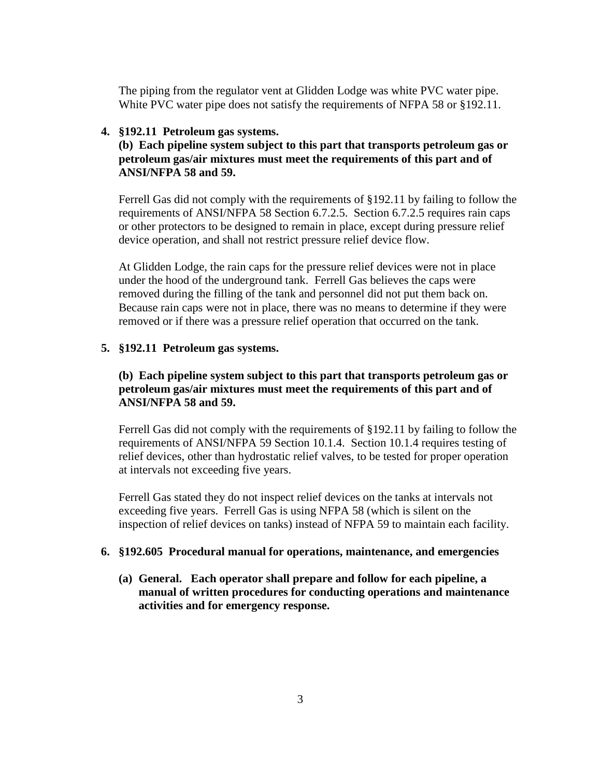The piping from the regulator vent at Glidden Lodge was white PVC water pipe. White PVC water pipe does not satisfy the requirements of NFPA 58 or §192.11.

#### **4. §192.11 Petroleum gas systems.**

**(b) Each pipeline system subject to this part that transports petroleum gas or petroleum gas/air mixtures must meet the requirements of this part and of ANSI/NFPA 58 and 59.** 

Ferrell Gas did not comply with the requirements of §192.11 by failing to follow the requirements of ANSI/NFPA 58 Section 6.7.2.5. Section 6.7.2.5 requires rain caps or other protectors to be designed to remain in place, except during pressure relief device operation, and shall not restrict pressure relief device flow.

At Glidden Lodge, the rain caps for the pressure relief devices were not in place under the hood of the underground tank. Ferrell Gas believes the caps were removed during the filling of the tank and personnel did not put them back on. Because rain caps were not in place, there was no means to determine if they were removed or if there was a pressure relief operation that occurred on the tank.

### **5. §192.11 Petroleum gas systems.**

# **(b) Each pipeline system subject to this part that transports petroleum gas or petroleum gas/air mixtures must meet the requirements of this part and of ANSI/NFPA 58 and 59.**

Ferrell Gas did not comply with the requirements of §192.11 by failing to follow the requirements of ANSI/NFPA 59 Section 10.1.4. Section 10.1.4 requires testing of relief devices, other than hydrostatic relief valves, to be tested for proper operation at intervals not exceeding five years.

Ferrell Gas stated they do not inspect relief devices on the tanks at intervals not exceeding five years. Ferrell Gas is using NFPA 58 (which is silent on the inspection of relief devices on tanks) instead of NFPA 59 to maintain each facility.

#### **6. §192.605 Procedural manual for operations, maintenance, and emergencies**

**(a) General. Each operator shall prepare and follow for each pipeline, a manual of written procedures for conducting operations and maintenance activities and for emergency response.**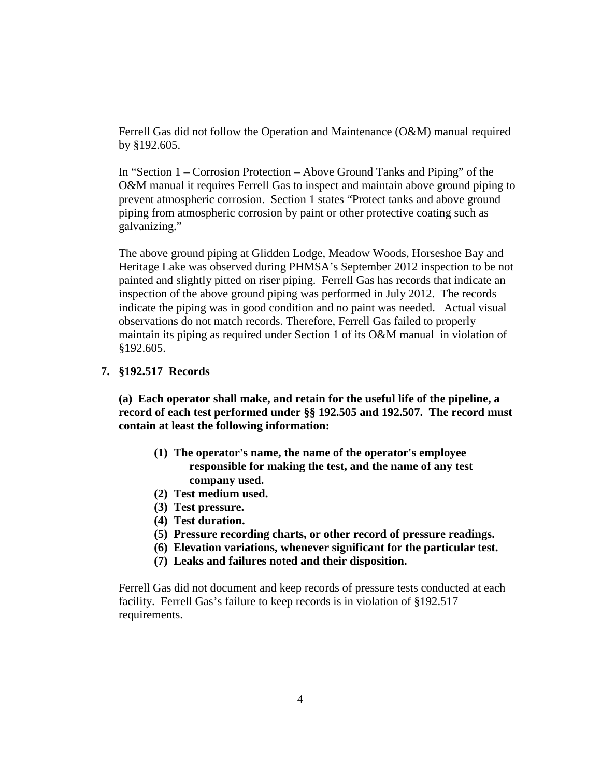Ferrell Gas did not follow the Operation and Maintenance (O&M) manual required by §192.605.

In "Section 1 – Corrosion Protection – Above Ground Tanks and Piping" of the O&M manual it requires Ferrell Gas to inspect and maintain above ground piping to prevent atmospheric corrosion. Section 1 states "Protect tanks and above ground piping from atmospheric corrosion by paint or other protective coating such as galvanizing."

The above ground piping at Glidden Lodge, Meadow Woods, Horseshoe Bay and Heritage Lake was observed during PHMSA's September 2012 inspection to be not painted and slightly pitted on riser piping. Ferrell Gas has records that indicate an inspection of the above ground piping was performed in July 2012. The records indicate the piping was in good condition and no paint was needed. Actual visual observations do not match records. Therefore, Ferrell Gas failed to properly maintain its piping as required under Section 1 of its O&M manual in violation of §192.605.

### **7. §192.517 Records**

 **(a) Each operator shall make, and retain for the useful life of the pipeline, a record of each test performed under §§ 192.505 and 192.507. The record must contain at least the following information:** 

- **(1) The operator's name, the name of the operator's employee responsible for making the test, and the name of any test company used.**
- **(2) Test medium used.**
- **(3) Test pressure.**
- **(4) Test duration.**
- **(5) Pressure recording charts, or other record of pressure readings.**
- **(6) Elevation variations, whenever significant for the particular test.**
- **(7) Leaks and failures noted and their disposition.**

Ferrell Gas did not document and keep records of pressure tests conducted at each facility. Ferrell Gas's failure to keep records is in violation of §192.517 requirements.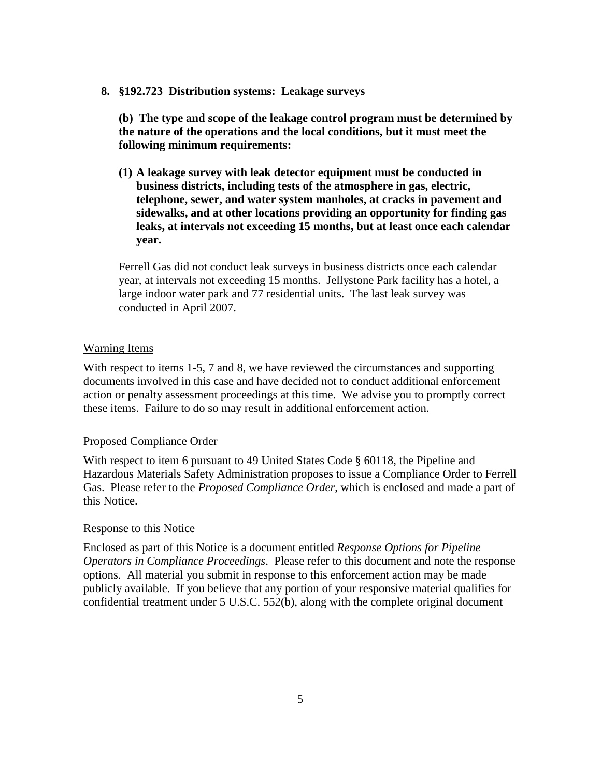#### **8. §192.723 Distribution systems: Leakage surveys**

**(b) The type and scope of the leakage control program must be determined by the nature of the operations and the local conditions, but it must meet the following minimum requirements:**

**(1) A leakage survey with leak detector equipment must be conducted in business districts, including tests of the atmosphere in gas, electric, telephone, sewer, and water system manholes, at cracks in pavement and sidewalks, and at other locations providing an opportunity for finding gas leaks, at intervals not exceeding 15 months, but at least once each calendar year.**

Ferrell Gas did not conduct leak surveys in business districts once each calendar year, at intervals not exceeding 15 months. Jellystone Park facility has a hotel, a large indoor water park and 77 residential units. The last leak survey was conducted in April 2007.

#### Warning Items

With respect to items 1-5, 7 and 8, we have reviewed the circumstances and supporting documents involved in this case and have decided not to conduct additional enforcement action or penalty assessment proceedings at this time. We advise you to promptly correct these items. Failure to do so may result in additional enforcement action.

### Proposed Compliance Order

With respect to item 6 pursuant to 49 United States Code § 60118, the Pipeline and Hazardous Materials Safety Administration proposes to issue a Compliance Order to Ferrell Gas. Please refer to the *Proposed Compliance Order*, which is enclosed and made a part of this Notice.

#### Response to this Notice

Enclosed as part of this Notice is a document entitled *Response Options for Pipeline Operators in Compliance Proceedings*. Please refer to this document and note the response options. All material you submit in response to this enforcement action may be made publicly available. If you believe that any portion of your responsive material qualifies for confidential treatment under 5 U.S.C. 552(b), along with the complete original document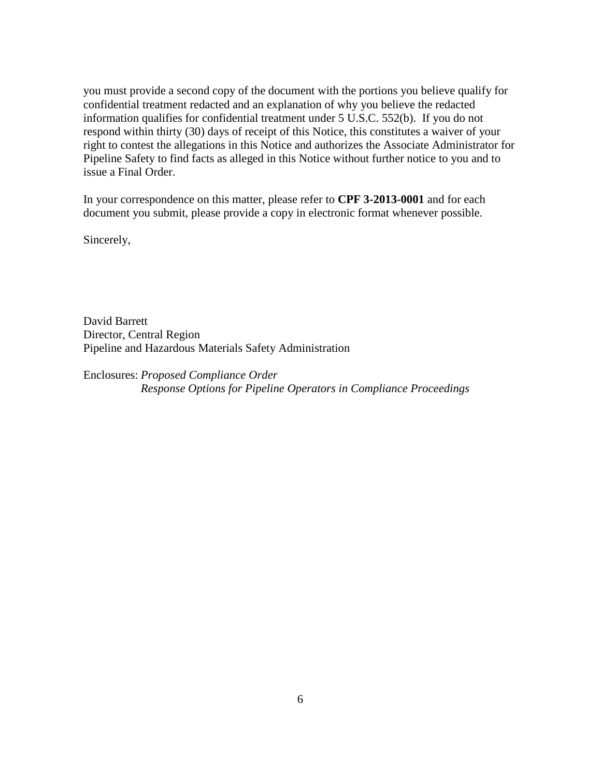you must provide a second copy of the document with the portions you believe qualify for confidential treatment redacted and an explanation of why you believe the redacted information qualifies for confidential treatment under 5 U.S.C. 552(b). If you do not respond within thirty (30) days of receipt of this Notice, this constitutes a waiver of your right to contest the allegations in this Notice and authorizes the Associate Administrator for Pipeline Safety to find facts as alleged in this Notice without further notice to you and to issue a Final Order.

In your correspondence on this matter, please refer to **CPF 3-2013-0001** and for each document you submit, please provide a copy in electronic format whenever possible.

Sincerely,

David Barrett Director, Central Region Pipeline and Hazardous Materials Safety Administration

Enclosures: *Proposed Compliance Order Response Options for Pipeline Operators in Compliance Proceedings*